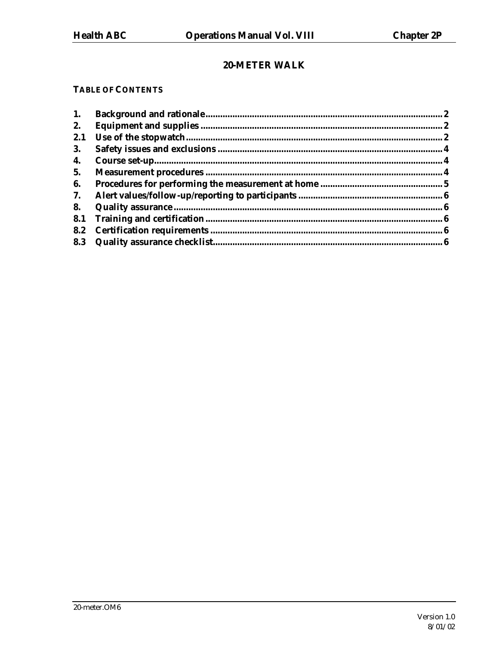# 20-METER WALK

#### **TABLE OF CONTENTS**

| 1.  |  |
|-----|--|
| 2.  |  |
| 2.1 |  |
| 3.  |  |
| 4.  |  |
| 5.  |  |
| 6.  |  |
| 7.  |  |
| 8.  |  |
| 8.1 |  |
| 8.2 |  |
|     |  |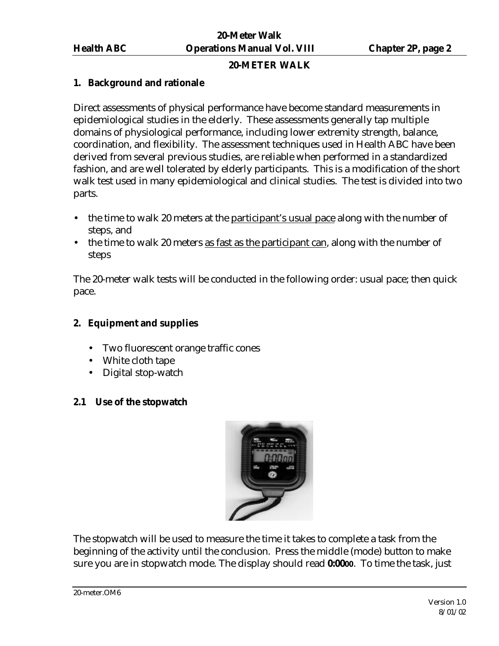### **20-METER WALK**

### **1. Background and rationale**

Direct assessments of physical performance have become standard measurements in epidemiological studies in the elderly. These assessments generally tap multiple domains of physiological performance, including lower extremity strength, balance, coordination, and flexibility. The assessment techniques used in Health ABC have been derived from several previous studies, are reliable when performed in a standardized fashion, and are well tolerated by elderly participants. This is a modification of the short walk test used in many epidemiological and clinical studies. The test is divided into two parts.

- the time to walk 20 meters at the participant's usual pace along with the number of steps, and
- the time to walk 20 meters as fast as the participant can, along with the number of steps

The 20-meter walk tests will be conducted in the following order: usual pace; then quick pace.

# **2. Equipment and supplies**

- Two fluorescent orange traffic cones
- White cloth tape
- Digital stop-watch

### **2.1 Use of the stopwatch**



The stopwatch will be used to measure the time it takes to complete a task from the beginning of the activity until the conclusion. Press the middle (mode) button to make sure you are in stopwatch mode. The display should read **0:0000**. To time the task, just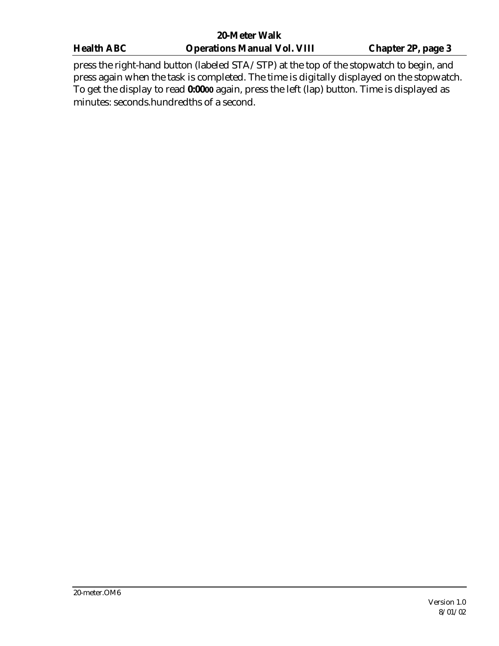| <b>20-Meter Walk</b> |                                                                                                                                                                                                              |                           |  |  |
|----------------------|--------------------------------------------------------------------------------------------------------------------------------------------------------------------------------------------------------------|---------------------------|--|--|
| <b>Health ABC</b>    | <b>Operations Manual Vol. VIII</b>                                                                                                                                                                           | <b>Chapter 2P, page 3</b> |  |  |
|                      | press the right-hand button (labeled STA/STP) at the top of the stopwatch to begin, and<br>والمستحدث والمستحدث والمتحا والمناقب والمتعارف والمتعارض المتحارب والمنافس والمتحارب والمستحدث والمتحارب والمتحدث |                           |  |  |

press again when the task is completed. The time is digitally displayed on the stopwatch. To get the display to read **0:0000** again, press the left (lap) button. Time is displayed as minutes: seconds.hundredths of a second.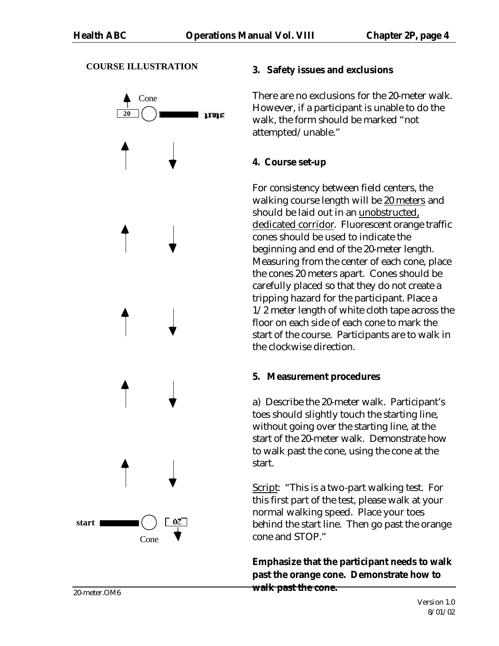### **COURSE ILLUSTRATION**



### **3. Safety issues and exclusions**

There are no exclusions for the 20-meter walk. However, if a participant is unable to do the walk, the form should be marked "not attempted/unable."

# **4. Course set-up**

For consistency between field centers, the walking course length will be 20 meters and should be laid out in an unobstructed, dedicated corridor. Fluorescent orange traffic cones should be used to indicate the beginning and end of the 20-meter length. Measuring from the center of each cone, place the cones 20 meters apart. Cones should be carefully placed so that they do not create a tripping hazard for the participant. Place a 1/2 meter length of white cloth tape across the floor on each side of each cone to mark the start of the course. Participants are to walk in the clockwise direction.

# **5. Measurement procedures**

a) Describe the 20-meter walk. Participant's toes should slightly touch the starting line, without going over the starting line, at the start of the 20-meter walk. Demonstrate how to walk past the cone, using the cone at the start.

Script: "This is a two-part walking test. For this first part of the test, please walk at your normal walking speed. Place your toes behind the start line. Then go past the orange cone and STOP."

**Emphasize that the participant needs to walk past the orange cone. Demonstrate how to walk past the cone.**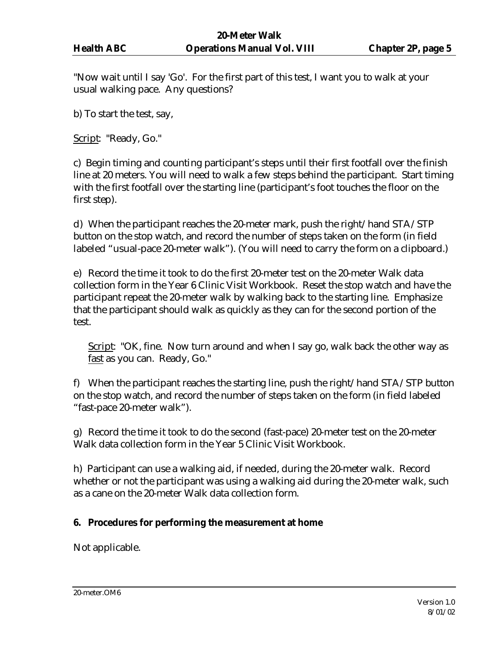"Now wait until I say 'Go'. For the first part of this test, I want you to walk at your usual walking pace. Any questions?

b) To start the test, say,

Script: "Ready, Go."

c) Begin timing and counting participant's steps until their first footfall over the finish line at 20 meters. You will need to walk a few steps behind the participant. Start timing with the first footfall over the starting line (participant's foot touches the floor on the first step).

d) When the participant reaches the 20-meter mark, push the right/hand STA/STP button on the stop watch, and record the number of steps taken on the form (in field labeled "usual-pace 20-meter walk"). (You will need to carry the form on a clipboard.)

e) Record the time it took to do the first 20-meter test on the 20-meter Walk data collection form in the Year 6 Clinic Visit Workbook. Reset the stop watch and have the participant repeat the 20-meter walk by walking back to the starting line. Emphasize that the participant should walk as quickly as they can for the second portion of the test.

Script: "OK, fine. Now turn around and when I say go, walk back the other way as fast as you can. Ready, Go."

f) When the participant reaches the starting line, push the right/hand STA/STP button on the stop watch, and record the number of steps taken on the form (in field labeled "fast-pace 20-meter walk").

g) Record the time it took to do the second (fast-pace) 20-meter test on the 20-meter Walk data collection form in the Year 5 Clinic Visit Workbook.

h) Participant can use a walking aid, if needed, during the 20-meter walk. Record whether or not the participant was using a walking aid during the 20-meter walk, such as a cane on the 20-meter Walk data collection form.

# **6. Procedures for performing the measurement at home**

Not applicable.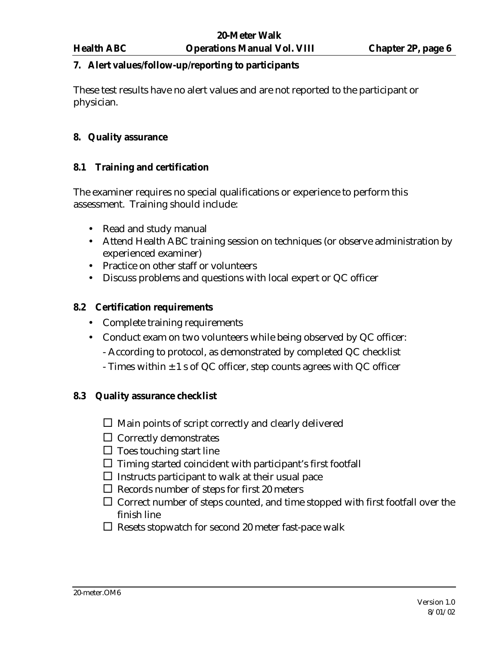#### **7. Alert values/follow-up/reporting to participants**

These test results have no alert values and are not reported to the participant or physician.

### **8. Quality assurance**

### **8.1 Training and certification**

The examiner requires no special qualifications or experience to perform this assessment. Training should include:

- Read and study manual
- Attend Health ABC training session on techniques (or observe administration by experienced examiner)
- Practice on other staff or volunteers
- Discuss problems and questions with local expert or QC officer

### **8.2 Certification requirements**

- Complete training requirements
- Conduct exam on two volunteers while being observed by QC officer:
	- According to protocol, as demonstrated by completed QC checklist
	- Times within  $\pm 1$  s of QC officer, step counts agrees with QC officer

### **8.3 Quality assurance checklist**

- $\square$  Main points of script correctly and clearly delivered
- $\Box$  Correctly demonstrates
- $\Box$  Toes touching start line
- $\Box$  Timing started coincident with participant's first footfall
- $\square$  Instructs participant to walk at their usual pace
- $\Box$  Records number of steps for first 20 meters
- $\square$  Correct number of steps counted, and time stopped with first footfall over the finish line
- $\Box$  Resets stopwatch for second 20 meter fast-pace walk